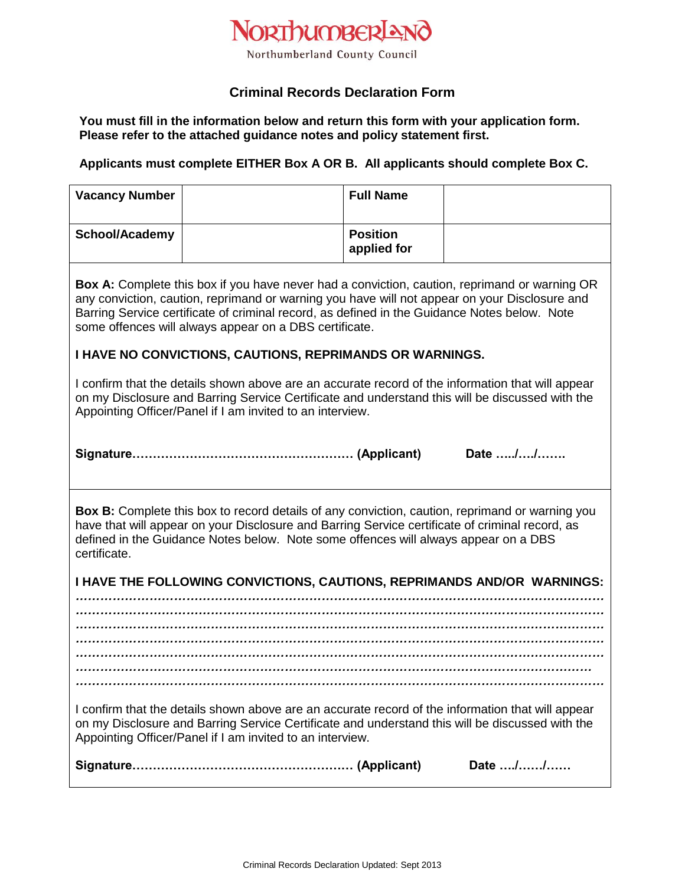

# **Criminal Records Declaration Form**

**You must fill in the information below and return this form with your application form. Please refer to the attached guidance notes and policy statement first.**

# **Applicants must complete EITHER Box A OR B. All applicants should complete Box C.**

| <b>Vacancy Number</b>                                                                                                                                                                                                                                                                                                                                           |  | <b>Full Name</b>               |         |  |  |
|-----------------------------------------------------------------------------------------------------------------------------------------------------------------------------------------------------------------------------------------------------------------------------------------------------------------------------------------------------------------|--|--------------------------------|---------|--|--|
| School/Academy                                                                                                                                                                                                                                                                                                                                                  |  | <b>Position</b><br>applied for |         |  |  |
| <b>Box A:</b> Complete this box if you have never had a conviction, caution, reprimand or warning OR<br>any conviction, caution, reprimand or warning you have will not appear on your Disclosure and<br>Barring Service certificate of criminal record, as defined in the Guidance Notes below. Note<br>some offences will always appear on a DBS certificate. |  |                                |         |  |  |
| I HAVE NO CONVICTIONS, CAUTIONS, REPRIMANDS OR WARNINGS.                                                                                                                                                                                                                                                                                                        |  |                                |         |  |  |
| I confirm that the details shown above are an accurate record of the information that will appear<br>on my Disclosure and Barring Service Certificate and understand this will be discussed with the<br>Appointing Officer/Panel if I am invited to an interview.                                                                                               |  |                                |         |  |  |
|                                                                                                                                                                                                                                                                                                                                                                 |  |                                | Date // |  |  |
| <b>Box B:</b> Complete this box to record details of any conviction, caution, reprimand or warning you<br>have that will appear on your Disclosure and Barring Service certificate of criminal record, as<br>defined in the Guidance Notes below. Note some offences will always appear on a DBS<br>certificate.                                                |  |                                |         |  |  |
| I HAVE THE FOLLOWING CONVICTIONS, CAUTIONS, REPRIMANDS AND/OR WARNINGS:                                                                                                                                                                                                                                                                                         |  |                                |         |  |  |
|                                                                                                                                                                                                                                                                                                                                                                 |  |                                |         |  |  |
|                                                                                                                                                                                                                                                                                                                                                                 |  |                                |         |  |  |
|                                                                                                                                                                                                                                                                                                                                                                 |  |                                |         |  |  |
| I confirm that the details shown above are an accurate record of the information that will appear<br>on my Disclosure and Barring Service Certificate and understand this will be discussed with the<br>Appointing Officer/Panel if I am invited to an interview.                                                                                               |  |                                |         |  |  |
|                                                                                                                                                                                                                                                                                                                                                                 |  |                                | Date // |  |  |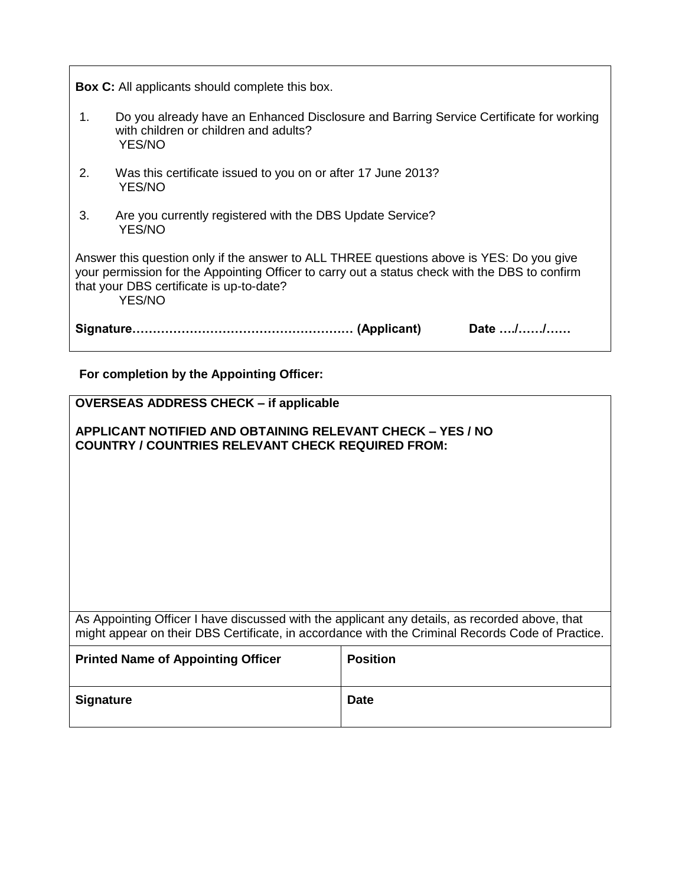|                                                                                                                                                                                                                                                         | <b>Box C:</b> All applicants should complete this box.                                                                                    |  |  |
|---------------------------------------------------------------------------------------------------------------------------------------------------------------------------------------------------------------------------------------------------------|-------------------------------------------------------------------------------------------------------------------------------------------|--|--|
| 1.                                                                                                                                                                                                                                                      | Do you already have an Enhanced Disclosure and Barring Service Certificate for working<br>with children or children and adults?<br>YES/NO |  |  |
| 2.                                                                                                                                                                                                                                                      | Was this certificate issued to you on or after 17 June 2013?<br>YES/NO                                                                    |  |  |
| 3.                                                                                                                                                                                                                                                      | Are you currently registered with the DBS Update Service?<br>YES/NO                                                                       |  |  |
| Answer this question only if the answer to ALL THREE questions above is YES: Do you give<br>your permission for the Appointing Officer to carry out a status check with the DBS to confirm<br>that your DBS certificate is up-to-date?<br><b>YES/NO</b> |                                                                                                                                           |  |  |
|                                                                                                                                                                                                                                                         | Date //                                                                                                                                   |  |  |

# **For completion by the Appointing Officer:**

| <b>APPLICANT NOTIFIED AND OBTAINING RELEVANT CHECK - YES / NO</b><br><b>COUNTRY / COUNTRIES RELEVANT CHECK REQUIRED FROM:</b>                                                                      |  |  |  |
|----------------------------------------------------------------------------------------------------------------------------------------------------------------------------------------------------|--|--|--|
|                                                                                                                                                                                                    |  |  |  |
|                                                                                                                                                                                                    |  |  |  |
|                                                                                                                                                                                                    |  |  |  |
|                                                                                                                                                                                                    |  |  |  |
|                                                                                                                                                                                                    |  |  |  |
|                                                                                                                                                                                                    |  |  |  |
| As Appointing Officer I have discussed with the applicant any details, as recorded above, that<br>might appear on their DBS Certificate, in accordance with the Criminal Records Code of Practice. |  |  |  |
| <b>Position</b><br><b>Printed Name of Appointing Officer</b>                                                                                                                                       |  |  |  |
|                                                                                                                                                                                                    |  |  |  |
|                                                                                                                                                                                                    |  |  |  |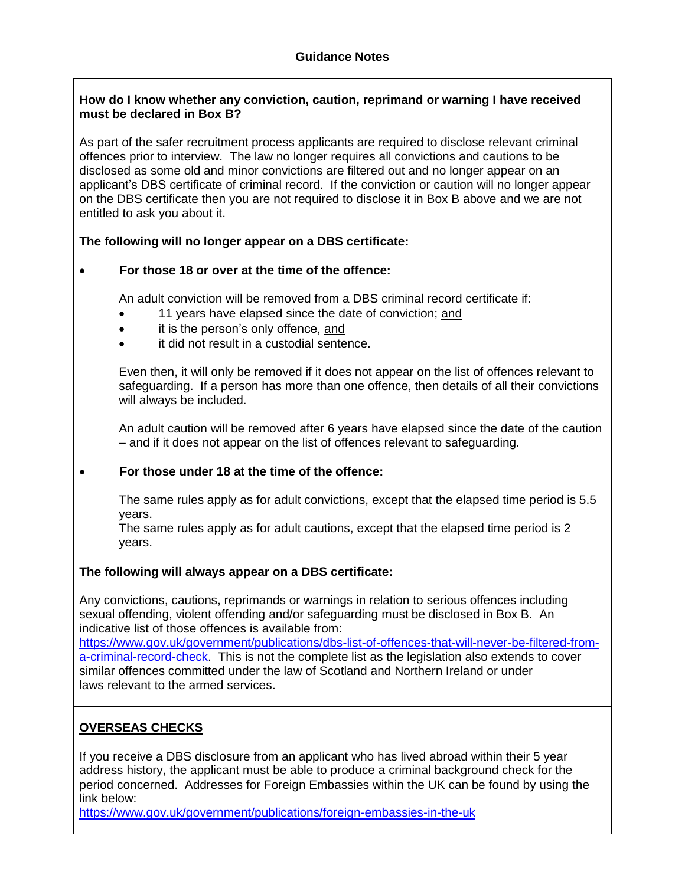# **How do I know whether any conviction, caution, reprimand or warning I have received must be declared in Box B?**

As part of the safer recruitment process applicants are required to disclose relevant criminal offences prior to interview. The law no longer requires all convictions and cautions to be disclosed as some old and minor convictions are filtered out and no longer appear on an applicant's DBS certificate of criminal record. If the conviction or caution will no longer appear on the DBS certificate then you are not required to disclose it in Box B above and we are not entitled to ask you about it.

# **The following will no longer appear on a DBS certificate:**

# **For those 18 or over at the time of the offence:**

An adult conviction will be removed from a DBS criminal record certificate if:

- 11 years have elapsed since the date of conviction; and
- it is the person's only offence, and
- it did not result in a custodial sentence.

Even then, it will only be removed if it does not appear on the list of offences relevant to safeguarding. If a person has more than one offence, then details of all their convictions will always be included.

An adult caution will be removed after 6 years have elapsed since the date of the caution – and if it does not appear on the list of offences relevant to safeguarding.

# **For those under 18 at the time of the offence:**

The same rules apply as for adult convictions, except that the elapsed time period is 5.5 years.

The same rules apply as for adult cautions, except that the elapsed time period is 2 years.

# **The following will always appear on a DBS certificate:**

Any convictions, cautions, reprimands or warnings in relation to serious offences including sexual offending, violent offending and/or safeguarding must be disclosed in Box B. An indicative list of those offences is available from:

[https://www.gov.uk/government/publications/dbs-list-of-offences-that-will-never-be-filtered-from](https://www.gov.uk/government/publications/dbs-list-of-offences-that-will-never-be-filtered-from-a-criminal-record-check)[a-criminal-record-check.](https://www.gov.uk/government/publications/dbs-list-of-offences-that-will-never-be-filtered-from-a-criminal-record-check) This is not the complete list as the legislation also extends to cover similar offences committed under the law of Scotland and Northern Ireland or under laws relevant to the armed services.

# **OVERSEAS CHECKS**

If you receive a DBS disclosure from an applicant who has lived abroad within their 5 year address history, the applicant must be able to produce a criminal background check for the period concerned. Addresses for Foreign Embassies within the UK can be found by using the link below:

<https://www.gov.uk/government/publications/foreign-embassies-in-the-uk>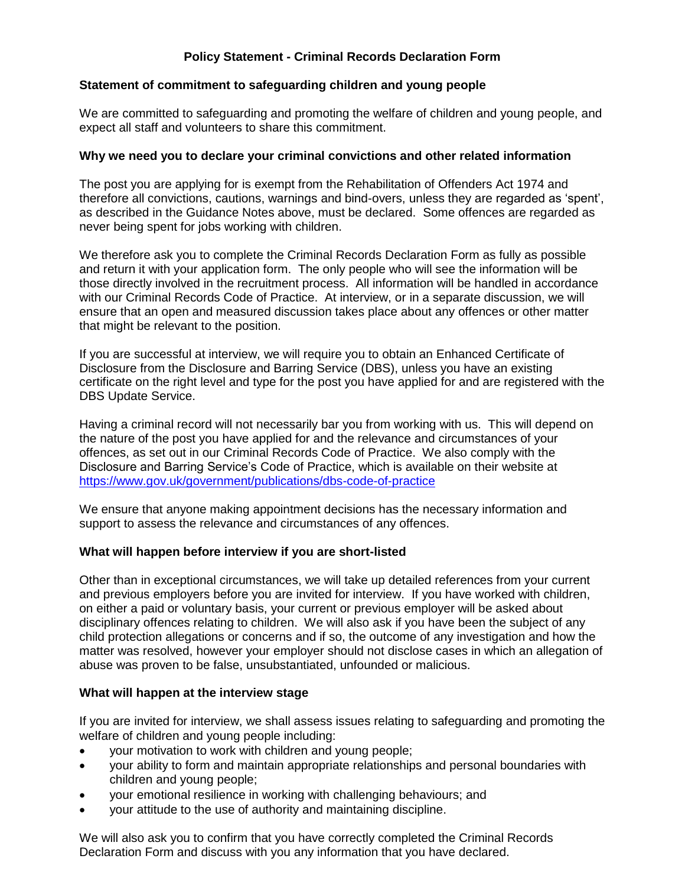# **Policy Statement - Criminal Records Declaration Form**

# **Statement of commitment to safeguarding children and young people**

We are committed to safeguarding and promoting the welfare of children and young people, and expect all staff and volunteers to share this commitment.

#### **Why we need you to declare your criminal convictions and other related information**

The post you are applying for is exempt from the Rehabilitation of Offenders Act 1974 and therefore all convictions, cautions, warnings and bind-overs, unless they are regarded as 'spent', as described in the Guidance Notes above, must be declared. Some offences are regarded as never being spent for jobs working with children.

We therefore ask you to complete the Criminal Records Declaration Form as fully as possible and return it with your application form. The only people who will see the information will be those directly involved in the recruitment process. All information will be handled in accordance with our Criminal Records Code of Practice. At interview, or in a separate discussion, we will ensure that an open and measured discussion takes place about any offences or other matter that might be relevant to the position.

If you are successful at interview, we will require you to obtain an Enhanced Certificate of Disclosure from the Disclosure and Barring Service (DBS), unless you have an existing certificate on the right level and type for the post you have applied for and are registered with the DBS Update Service.

Having a criminal record will not necessarily bar you from working with us. This will depend on the nature of the post you have applied for and the relevance and circumstances of your offences, as set out in our Criminal Records Code of Practice. We also comply with the Disclosure and Barring Service's Code of Practice, which is available on their website at <https://www.gov.uk/government/publications/dbs-code-of-practice>

We ensure that anyone making appointment decisions has the necessary information and support to assess the relevance and circumstances of any offences.

# **What will happen before interview if you are short-listed**

Other than in exceptional circumstances, we will take up detailed references from your current and previous employers before you are invited for interview. If you have worked with children, on either a paid or voluntary basis, your current or previous employer will be asked about disciplinary offences relating to children. We will also ask if you have been the subject of any child protection allegations or concerns and if so, the outcome of any investigation and how the matter was resolved, however your employer should not disclose cases in which an allegation of abuse was proven to be false, unsubstantiated, unfounded or malicious.

#### **What will happen at the interview stage**

If you are invited for interview, we shall assess issues relating to safeguarding and promoting the welfare of children and young people including:

- your motivation to work with children and young people;
- your ability to form and maintain appropriate relationships and personal boundaries with children and young people;
- your emotional resilience in working with challenging behaviours; and
- your attitude to the use of authority and maintaining discipline.

We will also ask you to confirm that you have correctly completed the Criminal Records Declaration Form and discuss with you any information that you have declared.